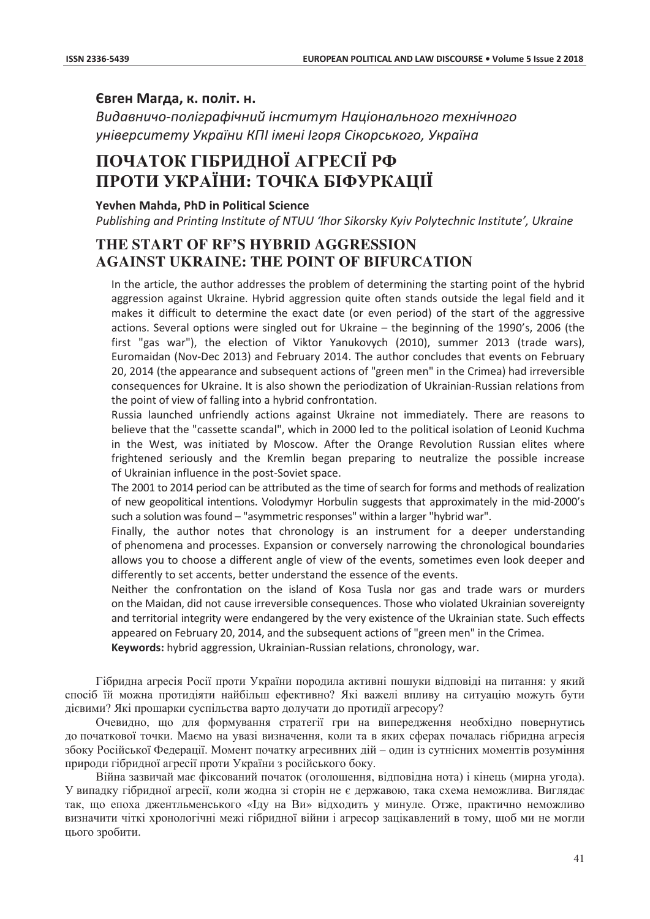### Євген Магда, к. політ. н.

**Видавничо-поліграфічний інститут Національного технічного** університету України КПІ імені Ігоря Сікорського, Україна

# **ɉɈɑȺɌɈɄ ȽȱȻɊɂȾɇɈȲ ȺȽɊȿɋȱȲ ɊɎ**  ПРОТИ УКРАЇНИ: ТОЧКА БІФУРКАЦІЇ

**Yevhen Mahda, PhD in Political Science** Publishing and Printing Institute of NTUU 'Ihor Sikorsky Kyiv Polytechnic Institute', Ukraine

## **THE START OF RF'S HYBRID AGGRESSION AGAINST UKRAINE: THE POINT OF BIFURCATION**

In the article, the author addresses the problem of determining the starting point of the hybrid aggression against Ukraine. Hybrid aggression quite often stands outside the legal field and it makes it difficult to determine the exact date (or even period) of the start of the aggressive actions. Several options were singled out for Ukraine – the beginning of the 1990's, 2006 (the first "gas war"), the election of Viktor Yanukovych (2010), summer 2013 (trade wars), Euromaidan (Nov-Dec 2013) and February 2014. The author concludes that events on February 20, 2014 (the appearance and subsequent actions of "green men" in the Crimea) had irreversible consequences for Ukraine. It is also shown the periodization of Ukrainian-Russian relations from the point of view of falling into a hybrid confrontation.

Russia launched unfriendly actions against Ukraine not immediately. There are reasons to believe that the "cassette scandal", which in 2000 led to the political isolation of Leonid Kuchma in the West, was initiated by Moscow. After the Orange Revolution Russian elites where frightened seriously and the Kremlin began preparing to neutralize the possible increase of Ukrainian influence in the post-Soviet space.

The 2001 to 2014 period can be attributed as the time of search for forms and methods of realization οf new geopolitical intentions. Volodymyr Horbulin suggests that approximately in the mid-2000's such a solution was found - "asymmetric responses" within a larger "hybrid war".

Finally, the author notes that chronology is an instrument for a deeper understanding of phenomena and processes. Expansion or conversely narrowing the chronological boundaries allows you to choose a different angle of view of the events, sometimes even look deeper and differently to set accents, better understand the essence of the events.

Neither the confrontation on the island of Kosa Tusla nor gas and trade wars or murders on the Maidan, did not cause irreversible consequences. Those who violated Ukrainian sovereignty and territorial integrity were endangered by the very existence of the Ukrainian state. Such effects appeared on February 20, 2014, and the subsequent actions of "green men" in the Crimea.

Keywords: hybrid aggression, Ukrainian-Russian relations, chronology, war.

Гібридна агресія Росії проти України породила активні пошуки відповіді на питання: у який спосіб їй можна протидіяти найбільш ефективно? Які важелі впливу на ситуацію можуть бути дієвими? Які прошарки суспільства варто долучати до протидії агресору?

Очевидно, що для формування стратегії гри на випередження необхідно повернутись до початкової точки. Маємо на увазі визначення, коли та в яких сферах почалась гібридна агресія збоку Російської Федерації. Момент початку агресивних дій – один із сутнісних моментів розуміння природи гібридної агресії проти України з російського боку.

Війна зазвичай має фіксований початок (оголошення, відповідна нота) і кінець (мирна угода). У випадку гібридної агресії, коли жодна зі сторін не є державою, така схема неможлива. Виглядає так, що епоха джентльменського «Іду на Ви» відходить у минуле. Отже, практично неможливо визначити чіткі хронологічні межі гібридної війни і агресор зацікавлений в тому, щоб ми не могли цього зробити.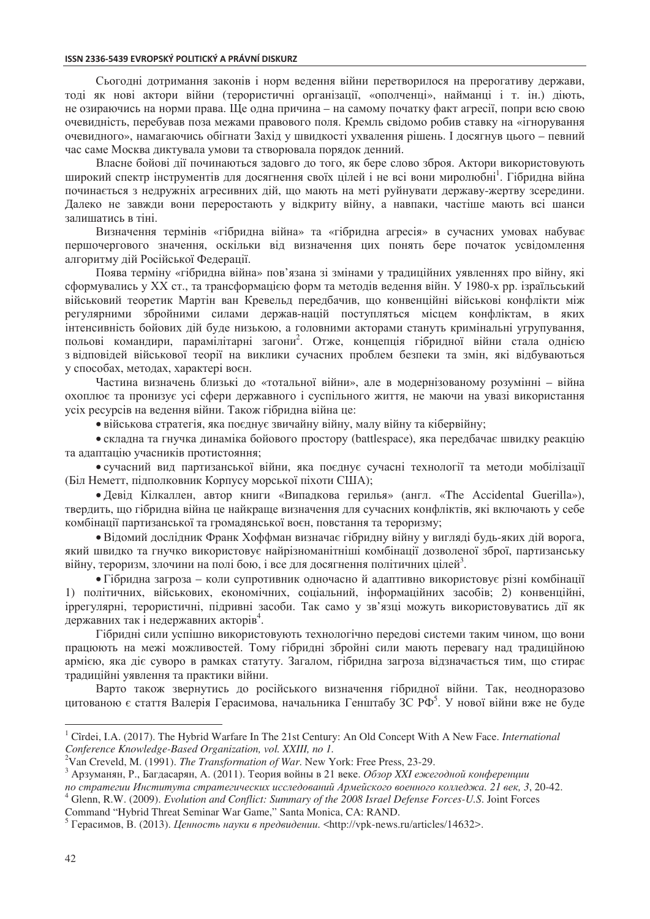Сьогодні дотримання законів і норм ведення війни перетворилося на прерогативу держави, тоді як нові актори війни (терористичні організації, «ополченці», найманці і т. ін.) діють, не озираючись на норми права. Ще одна причина – на самому початку факт агресії, попри всю свою очевидність, перебував поза межами правового поля. Кремль свідомо робив ставку на «ігнорування очевидного», намагаючись обігнати Захід у швидкості ухвалення рішень. І досягнув цього – певний час саме Москва диктувала умови та створювала порядок денний.

Власне бойові дії починаються задовго до того, як бере слово зброя. Актори використовують широкий спектр інструментів для досягнення своїх цілей і не всі вони миролюбні<sup>1</sup>. Гібридна війна починається з недружніх агресивних дій, що мають на меті руйнувати державу-жертву зсередини. Далеко не завжди вони переростають у відкриту війну, а навпаки, частіше мають всі шанси залишатись в тіні.

Визначення термінів «гібридна війна» та «гібридна агресія» в сучасних умовах набуває першочергового значення, оскільки від визначення цих понять бере початок усвідомлення алгоритму лій Російської Фелерації.

Поява терміну «гібридна війна» пов'язана зі змінами у традиційних уявленнях про війну, які сформувались у XX ст., та трансформацією форм та методів ведення війн. У 1980-х рр. ізраїльський військовий теоретик Мартін ван Кревельд передбачив, що конвенційні військові конфлікти між регулярними збройними силами держав-націй поступляться місцем конфліктам, в яких інтенсивність бойових дій буде низькою, а головними акторами стануть кримінальні угрупування, польові командири, парамілітарні загони<sup>2</sup>. Отже, концепція гібридної війни стала однією з відповідей військової теорії на виклики сучасних проблем безпеки та змін, які відбуваються у способах, методах, характері воєн.

Частина визначень близькі до «тотальної війни», але в модернізованому розумінні – війна охоплює та пронизує усі сфери державного і суспільного життя, не маючи на увазі використання усіх ресурсів на ведення війни. Також гібридна війна це:

• військова стратегія, яка поєднує звичайну війну, малу війну та кібервійну;

• складна та гнучка динаміка бойового простору (battlespace), яка передбачає швидку реакцію та адаптацію учасників протистояння;

• сучасний вид партизанської війни, яка поєднує сучасні технології та методи мобілізації (Біл Неметт, підполковник Корпусу морської піхоти США);

• Девід Кілкаллен, автор книги «Випадкова герилья» (англ. «The Accidental Guerilla»), твердить, що гібридна війна це найкраще визначення для сучасних конфліктів, які включають у себе комбінації партизанської та громадянської воєн, повстання та тероризму;

• Відомий дослідник Франк Хоффман визначає гібридну війну у вигляді будь-яких дій ворога, який швидко та гнучко використовує найрізноманітніші комбінації дозволеної зброї, партизанську війну, тероризм, злочини на полі бою, і все для досягнення політичних цілей<sup>3</sup>.

• Гібридна загроза – коли супротивник одночасно й адаптивно використовує різні комбінації 1) політичних, військових, економічних, соціальний, інформаційних засобів; 2) конвенційні, іррегулярні, терористичні, підривні засоби. Так само у зв'язці можуть використовуватись дії як державних так і недержавних акторів<sup>4</sup>.

Гібридні сили успішно використовують технологічно передові системи таким чином, що вони працюють на межі можливостей. Тому гібридні збройні сили мають перевагу над традиційною армією, яка діє суворо в рамках статуту. Загалом, гібридна загроза відзначається тим, що стирає традиційні уявлення та практики війни.

Варто також звернутись до російського визначення гібридної війни. Так, неодноразово цитованою є стаття Валерія Герасимова, начальника Генштабу ЗС РФ<sup>5</sup>. У нової війни вже не буде

ло стратегии Института стратегических исследований Армейского военного колледжа. 21 век, 3, 20-42. Glenn, R.W. (2009). *Evolution and Conflict: Summary of the 2008 Israel Defense Forces-U.S*. Joint Forces

 $\overline{a}$ 

<sup>&</sup>lt;sup>1</sup> Cîrdei, I.A. (2017). The Hybrid Warfare In The 21st Century: An Old Concept With A New Face. *International Conference Knowledge-Based Organization, vol. XXIII, no 1.* <sup>2</sup>Van Creveld, M. (1991). *The Transformation of War*. New York: Free Press, 23-29.

<sup>&</sup>lt;sup>3</sup> Арзуманян, Р., Багдасарян, А. (2011). Теория войны в 21 веке. *Обзор XXI ежегодной конференции* 

Command "Hybrid Threat Seminar War Game," Santa Monica, CA: RAND.

<sup>&</sup>lt;sup>5</sup> Герасимов, В. (2013). *Ценность науки в предвидении*. <http://vpk-news.ru/articles/14632>.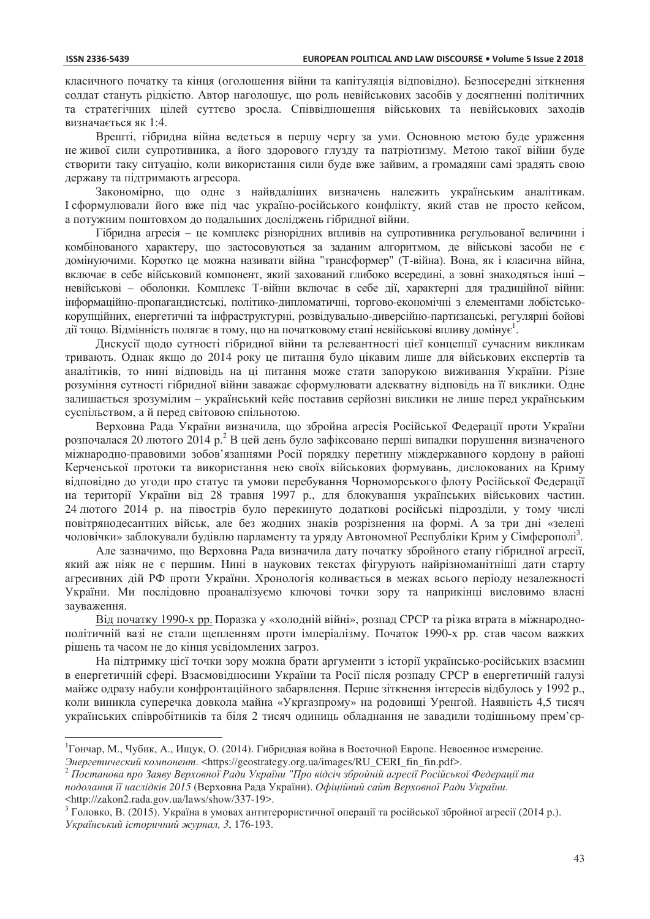$\overline{a}$ 

класичного початку та кінця (оголошення війни та капітуляція відповідно). Безпосередні зіткнення солдат стануть рідкістю. Автор наголошує, що роль невійськових засобів у досягненні політичних та стратегічних цілей суттєво зросла. Співвідношення військових та невійськових заходів визначається як 1:4.

Врешті, гібридна війна ведеться в першу чергу за уми. Основною метою буде ураження не живої сили супротивника, а його злорового глузду та патріотизму. Метою такої війни буде створити таку ситуацію, коли використання сили буде вже зайвим, а громадяни самі зрадять свою державу та підтримають агресора.

Закономірно, що одне з найвдаліших визначень належить українським аналітикам. I сформулювали його вже під час україно-російського конфлікту, який став не просто кейсом, а потужним поштовхом до подальших досліджень гібридної війни.

Гібридна агресія – це комплекс різнорідних впливів на супротивника регульованої величини і комбінованого характеру, що застосовуються за заданим алгоритмом, де військові засоби не є домінуючими. Коротко це можна називати війна "трансформер" (Т-війна). Вона, як і класична війна, включає в себе військовий компонент, який захований глибоко всередині, а зовні знаходяться інші невійськові – оболонки. Комплекс Т-війни включає в себе дії, характерні для традиційної війни: інформаційно-пропагандистські, політико-дипломатичні, торгово-економічні з елементами лобістськокорупційних, енергетичні та інфраструктурні, розвідувально-диверсійно-партизанські, регулярні бойові дії тощо. Відмінність полягає в тому, що на початковому етапі невійськові впливу домінує<sup>1</sup>.

Дискусії щодо сутності гібридної війни та релевантності цієї концепції сучасним викликам тривають. Однак якщо до 2014 року це питання було цікавим лише для військових експертів та аналітиків, то нині відповідь на ці питання може стати запорукою виживання України. Різне розуміння сутності гібридної війни заважає сформулювати адекватну відповідь на її виклики. Одне залишається зрозумілим – український кейс поставив серйозні виклики не лише перед українським суспільством, а й перед світовою спільнотою.

Верховна Рада України визначила, що збройна агресія Російської Федерації проти України розпочалася 20 лютого 2014 р.<sup>2</sup> В цей день було зафіксовано перші випадки порушення визначеного міжнародно-правовими зобов'язаннями Росії порядку перетину міждержавного кордону в районі Керченської протоки та використання нею своїх військових формувань, дислокованих на Криму відповідно до угоди про статус та умови перебування Чорноморського флоту Російської Федерації на території України від 28 травня 1997 р., для блокування українських військових частин. 24 лютого 2014 р. на півострів було перекинуто додаткові російські підрозділи, у тому числі повітрянодесантних військ, але без жодних знаків розрізнення на формі. А за три дні «зелені чоловічки» заблокували будівлю парламенту та уряду Автономної Республіки Крим у Сімферополі<sup>3</sup>.

Але зазначимо, що Верховна Рада визначила дату початку збройного етапу гібридної агресії, який аж ніяк не є першим. Нині в наукових текстах фігурують найрізноманітніші дати старту агресивних дій РФ проти України. Хронологія коливається в межах всього періоду незалежності України. Ми послідовно проаналізуємо ключові точки зору та наприкінці висловимо власні зауваження.

Від початку 1990-х рр. Поразка у «холодній війні», розпад СРСР та різка втрата в міжнароднополітичній вазі не стали щепленням проти імперіалізму. Початок 1990-х рр. став часом важких рішень та часом не до кінця усвідомлених загроз.

На підтримку цієї точки зору можна брати аргументи з історії українсько-російських взаємин в енергетичній сфері. Взаємовідносини України та Росії після розпаду СРСР в енергетичній галузі майже одразу набули конфронтаційного забарвлення. Перше зіткнення інтересів відбулось у 1992 р., коли виникла суперечка довкола майна «Укргазпрому» на родовищі Уренгой. Наявність 4,5 тисяч українських співробітників та біля 2 тисяч одиниць обладнання не завадили тодішньому прем'єр-

<sup>&</sup>lt;sup>1</sup> Гончар, М., Чубик, А., Ищук, О. (2014). Гибридная война в Восточной Европе. Невоенное измерение.

Энергетический компонент. <https://geostrategy.org.ua/images/RU\_CERI\_fin\_fin.pdf>.<br><sup>2</sup> Постанова про Заяву Верховної Ради України "Про відсіч збройній агресії Російської Федерації та подолання її наслідків 2015 (Верховна Рада України). Офіційний сайт Верховної Ради України. <http://zakon2.rada.gov.ua/laws/show/337-19>.

 $^3$  Головко, В. (2015). Україна в умовах антитерористичної операції та російської збройної агресії (2014 р.). *ɍɤɪɚʀɧɫɶɤɢɣ ɿɫɬɨɪɢɱɧɢɣ ɠɭɪɧɚɥ, 3*, 176-193.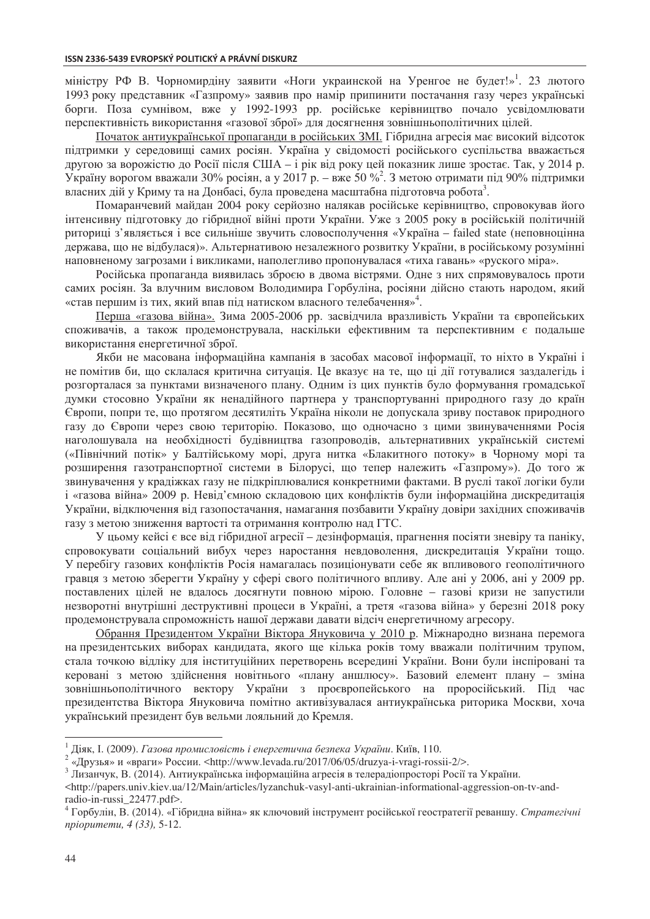міністру РФ В. Чорномирдіну заявити «Ноги украинской на Уренгое не будет!»<sup>1</sup>. 23 лютого 1993 року представник «Газпрому» заявив про намір припинити постачання газу через українські борги. Поза сумнівом, вже у 1992-1993 рр. російське керівництво почало усвідомлювати перспективність використання «газової зброї» для досягнення зовнішньополітичних цілей.

Початок антиукраїнської пропаганди в російських ЗМІ. Гібридна агресія має високий відсоток підтримки у середовищі самих росіян. Україна у свідомості російського суспільства вважається другою за ворожістю до Росії після США – і рік від року цей показник лише зростає. Так, у 2014 р. Україну ворогом вважали 30% росіян, а у 2017 р. – вже 50 %<sup>2</sup>. З метою отримати під 90% підтримки власних дій у Криму та на Донбасі, була проведена масштабна підготовча робота<sup>3</sup>.

Помаранчевий майдан 2004 року серйозно налякав російське керівництво, спровокував його інтенсивну підготовку до гібридної війні проти України. Уже з 2005 року в російській політичній риториці з'являється і все сильніше звучить словосполучення «Україна – failed state (неповноцінна держава, що не відбулася)». Альтернативою незалежного розвитку України, в російському розумінні наповненому загрозами і викликами, наполегливо пропонувалася «тиха гавань» «руского міра».

Російська пропаганда виявилась зброєю в двома вістрями. Одне з них спрямовувалось проти самих росіян. За влучним висловом Володимира Горбуліна, росіяни дійсно стають народом, який «став першим із тих, який впав під натиском власного телебачення»<sup>4</sup>.

Перша «газова війна». Зима 2005-2006 рр. засвідчила вразливість України та європейських споживачів, а також продемонструвала, наскільки ефективним та перспективним є подальше використання енергетичної зброї.

Якби не масована інформаційна кампанія в засобах масової інформації, то ніхто в Україні і не помітив би, що склалася критична ситуація. Це вказує на те, що ці дії готувалися заздалегідь і розгорталася за пунктами визначеного плану. Одним із цих пунктів було формування громадської думки стосовно України як ненадійного партнера у транспортуванні природного газу до країн Свропи, попри те, що протягом десятиліть Україна ніколи не допускала зриву поставок природного газу до Європи через свою територію. Показово, що одночасно з цими звинуваченнями Росія наголошувала на необхідності будівництва газопроводів, альтернативних українській системі («Північний потік» у Балтійському морі, друга нитка «Блакитного потоку» в Чорному морі та розширення газотранспортної системи в Білорусі, що тепер належить «Газпрому»). До того ж звинувачення у крадіжках газу не підкріплювалися конкретними фактами. В руслі такої логіки були і «газова війна» 2009 р. Невід'ємною складовою цих конфліктів були інформаційна дискредитація України, відключення від газопостачання, намагання позбавити Україну довіри західних споживачів газу з метою зниження вартості та отримання контролю над ГТС.

У цьому кейсі є все від гібридної агресії – дезінформація, прагнення посіяти зневіру та паніку, спровокувати соціальний вибух через наростання невдоволення, дискредитація України тощо. У перебігу газових конфліктів Росія намагалась позиціонувати себе як впливового геополітичного гравця з метою зберегти Україну у сфері свого політичного впливу. Але ані у 2006, ані у 2009 рр. поставлених цілей не вдалось досягнути повною мірою. Головне - газові кризи не запустили незворотні внутрішні деструктивні процеси в Україні, а третя «газова війна» у березні 2018 року продемонструвала спроможність нашої держави давати відсіч енергетичному агресору.

Обрання Президентом України Віктора Януковича у 2010 р. Міжнародно визнана перемога на президентських виборах кандидата, якого ще кілька років тому вважали політичним трупом, стала точкою відліку для інституційних перетворень всередині України. Вони були інспіровані та керовані з метою здійснення новітнього «плану аншлюсу». Базовий елемент плану - зміна зовнішньополітичного вектору України з проєвропейського на проросійський. Під час президентства Віктора Януковича помітно активізувалася антиукраїнська риторика Москви, хоча український президент був вельми лояльний до Кремля.

 $\overline{a}$ 

<sup>&</sup>lt;sup>1</sup> Діяк, І. (2009). *Газова промисловість і енергетична безпека України*. Київ, 110.<br><sup>2</sup> «Люуда» и «праки» Воссии «http://www.layada.ry/2017/06/05/dryzya i yraci rossi

<sup>&</sup>lt;sup>2</sup> «Друзья» и «враги» России. <http://www.levada.ru/2017/06/05/druzya-i-vragi-rossii-2/>.<br><sup>3</sup> Лизанчук, В. (2014). Антиукраїнська інформаційна агресія в телерадіопросторі Росії та України.

 $\langle$ http://papers.univ.kiev.ua/12/Main/articles/lyzanchuk-vasyl-anti-ukrainian-informational-aggression-on-tv-andradio-in-russi\_22477.pdf>.

<sup>&</sup>lt;sup>4</sup> Горбулін, В. (2014). «Гібридна війна» як ключовий інструмент російської геостратегії реваншу. Стратегічні *npiopumemu*, 4 (33), 5-12.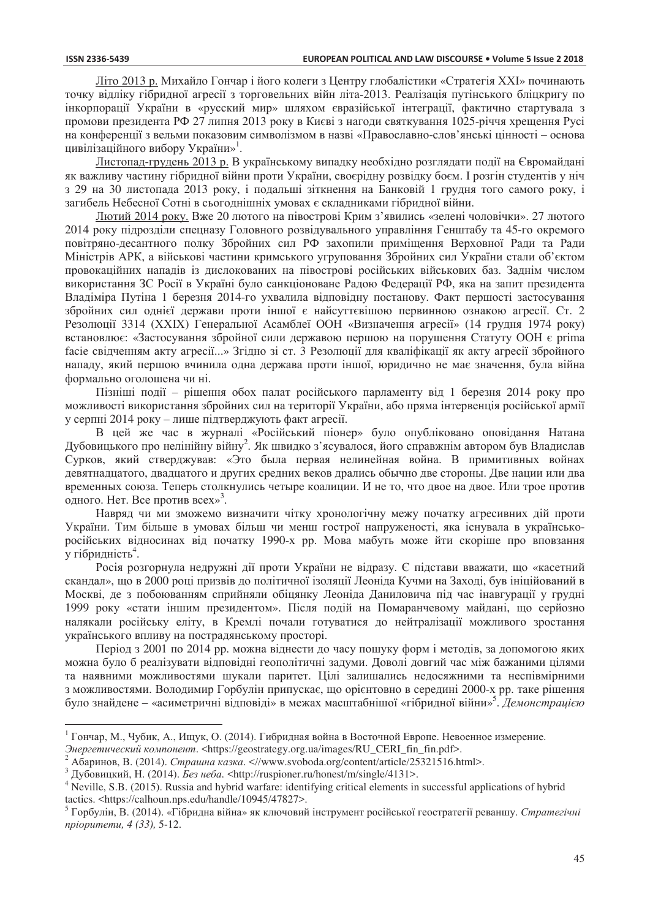$\overline{a}$ 

Літо 2013 р. Михайло Гончар і його колеги з Центру глобалістики «Стратегія XXI» починають точку відліку гібридної агресії з торговельних війн літа-2013. Реалізація путінського бліцкригу по інкорпорації України в «русский мир» шляхом євразійської інтеграції, фактично стартувала з промови президента РФ 27 липня 2013 року в Києві з нагоди святкування 1025-річчя хрещення Русі на конференції з вельми показовим символізмом в назві «Православно-слов'янські цінності – основа цивілізаційного вибору України»<sup>1</sup>.

Листопад-грудень 2013 р. В українському випадку необхідно розглядати події на Євромайлані як важливу частину гібридної війни проти України, своєрідну розвідку боєм. І розгін студентів у ніч з 29 на 30 листопада 2013 року, і подальші зіткнення на Банковій 1 грудня того самого року, і загибель Небесної Сотні в сьогоднішніх умовах є складниками гібридної війни.

Лютий 2014 року. Вже 20 лютого на півострові Крим з'явились «зелені чоловічки». 27 лютого 2014 року підрозділи спецназу Головного розвідувального управління Генштабу та 45-го окремого повітряно-десантного полку Збройних сил РФ захопили приміщення Верховної Ради та Ради Міністрів АРК, а військові частини кримського угруповання Збройних сил України стали об'єктом провокаційних нападів із дислокованих на півострові російських військових баз. Заднім числом використання ЗС Росії в Україні було санкціоноване Радою Федерації РФ, яка на запит президента Владіміра Путіна 1 березня 2014-го ухвалила відповідну постанову. Факт першості застосування збройних сил однієї держави проти іншої є найсуттєвішою первинною ознакою агресії. Ст. 2 Резолюції 3314 (XXIX) Генеральної Асамблеї ООН «Визначення агресії» (14 грудня 1974 року) встановлює: «Застосування збройної сили державою першою на порушення Статуту ООН є prima facie свідченням акту агресії...» Згідно зі ст. 3 Резолюції для кваліфікації як акту агресії збройного нападу, який першою вчинила одна держава проти іншої, юридично не має значення, була війна формально оголошена чи ні.

Пізніші події – рішення обох палат російського парламенту від 1 березня 2014 року про можливості використання збройних сил на території України, або пряма інтервенція російської армії у серпні 2014 року – лише підтверджують факт агресії.

В цей же час в журналі «Російський піонер» було опубліковано оповідання Натана Дубовицького про нелінійну війну<sup>2</sup>. Як швидко з'ясувалося, його справжнім автором був Владислав Сурков, який стверджував: «Это была первая нелинейная война. В примитивных войнах девятнадцатого, двадцатого и других средних веков дрались обычно две стороны. Две нации или два временных союза. Теперь столкнулись четыре коалиции. И не то, что двое на двое. Или трое против одного. Нет. Все против всех»<sup>3</sup>.

Навряд чи ми зможемо визначити чітку хронологічну межу початку агресивних дій проти України. Тим більше в умовах більш чи менш гострої напруженості, яка існувала в українськоросійських відносинах від початку 1990-х рр. Мова мабуть може йти скоріше про вповзання  $_{\rm y}$  гібридність $^{4}$ .

Росія розгорнула недружні дії проти України не відразу. Є підстави вважати, що «касетний скандал», що в 2000 році призвів до політичної ізоляції Леоніда Кучми на Заході, був ініційований в Москві, де з побоюванням сприйняли обіцянку Леоніда Даниловича під час інавгурації у грудні 1999 року «стати іншим президентом». Після подій на Помаранчевому майдані, що серйозно налякали російську еліту, в Кремлі почали готуватися до нейтралізації можливого зростання українського впливу на пострадянському просторі.

Період з 2001 по 2014 рр. можна віднести до часу пошуку форм і методів, за допомогою яких можна було б реалізувати відповідні геополітичні задуми. Доволі довгий час між бажаними цілями та наявними можливостями шукали паритет. Цілі залишались недосяжними та неспівмірними з можливостями. Володимир Горбулін припускає, що орієнтовно в середині 2000-х рр. таке рішення було знайдене – «асиметричні відповіді» в межах масштабнішої «гібридної війни»<sup>5</sup>. Демонстрацією

<sup>&</sup>lt;sup>1</sup> Гончар, М., Чубик, А., Ищук, О. (2014). Гибридная война в Восточной Европе. Невоенное измерение.

Энергетический компонент. <https://geostrategy.org.ua/images/RU\_CERI\_fin\_fin.pdf>.<br><sup>2</sup> Абаринов, В. (2014). *Страшна казка.* <//www.svoboda.org/content/article/25321516.html>.<br><sup>3</sup> Дубовицкий, Н. (2014). *Без неба.* <http:

<sup>&</sup>lt;sup>4</sup> Neville, S.B. (2015). Russia and hybrid warfare: identifying critical elements in successful applications of hybrid tactics. <https://calhoun.nps.edu/handle/10945/47827>.

<sup>&</sup>lt;sup>5</sup> Горбулін, В. (2014). «Гібридна війна» як ключовий інструмент російської геостратегії реваншу. Стратегічні *npiopumemu*, 4 (33), 5-12.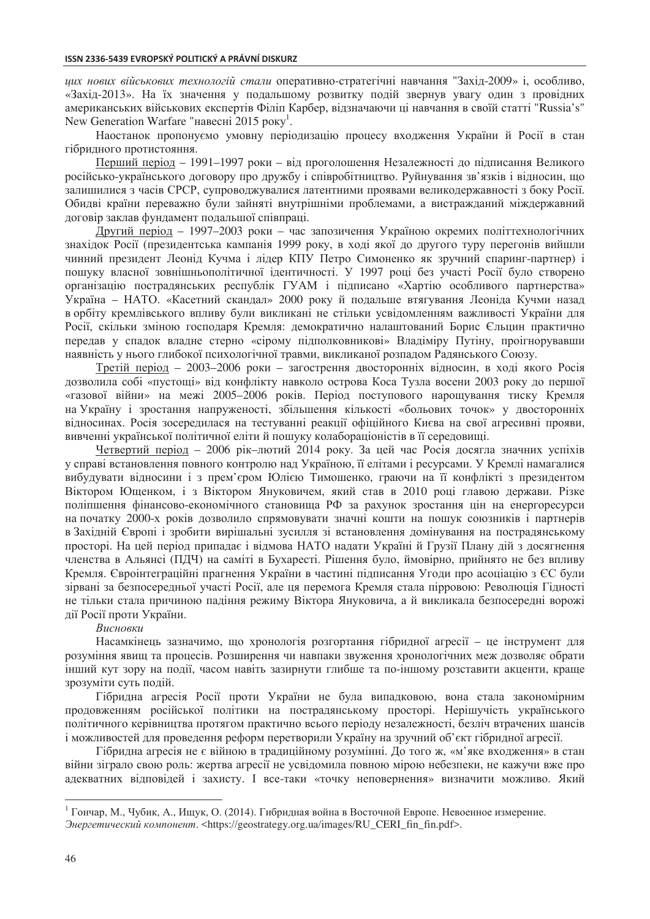*ɰɢɯ ɧɨɜɢɯ ɜɿɣɫɶɤɨɜɢɯ ɬɟɯɧɨɥɨɝɿɣ ɫɬɚɥɢ* ɨɩɟɪɚɬɢɜɧɨ-ɫɬɪɚɬɟɝɿɱɧɿ ɧɚɜɱɚɧɧɹ "Ɂɚɯɿɞ-2009» ɿ, ɨɫɨɛɥɢɜɨ, «Захід-2013». На їх значення у подальшому розвитку подій звернув увагу один з провідних американських військових експертів Філіп Карбер, відзначаючи ці навчання в своїй статті "Russia's" New Generation Warfare "навесні 2015 року<sup>1</sup>.

Наостанок пропонуємо умовну періодизацію процесу входження України й Росії в стан гібридного протистояння.

Перший періол – 1991–1997 роки – віл проголошення Незалежності ло пілписання Великого російсько-українського договору про дружбу і співробітництво. Руйнування зв'язків і відносин, що залишилися з часів СРСР, супроводжувалися латентними проявами великодержавності з боку Росії. Обидві країни переважно були зайняті внутрішніми проблемами, а вистражданий міждержавний договір заклав фундамент подальшої співпраці.

Другий період – 1997–2003 роки – час запозичення Україною окремих політтехнологічних знахідок Росії (президентська кампанія 1999 року, в ході якої до другого туру перегонів вийшли чинний президент Леонід Кучма і лідер КПУ Петро Симоненко як зручний спаринг-партнер) і пошуку власної зовнішньополітичної ідентичності. У 1997 році без участі Росії було створено організацію пострадянських республік ГУАМ і підписано «Хартію особливого партнерства» Україна – НАТО. «Касетний скандал» 2000 року й подальше втягування Леоніда Кучми назад в орбіту кремлівського впливу були викликані не стільки усвідомленням важливості України для Росії, скільки зміною господаря Кремля: демократично налаштований Борис Єльцин практично передав у спадок владне стерно «сірому підполковникові» Владіміру Путіну, проігнорувавши наявність у нього глибокої психологічної травми, викликаної розпадом Радянського Союзу.

Третій період – 2003–2006 роки – загострення двосторонніх відносин, в ході якого Росія дозволила собі «пустощі» від конфлікту навколо острова Коса Тузла восени 2003 року до першої «газової війни» на межі 2005–2006 років. Період поступового нарощування тиску Кремля на Україну і зростання напруженості, збільшення кількості «больових точок» у двосторонніх відносинах. Росія зосередилася на тестуванні реакції офіційного Києва на свої агресивні прояви, вивченні української політичної еліти й пошуку колабораціоністів в її середовищі.

Четвертий період – 2006 рік–лютий 2014 року. За цей час Росія досягла значних успіхів у справі встановлення повного контролю над Україною, її елітами і ресурсами. У Кремлі намагалися вибудувати відносини і з прем'єром Юлією Тимошенко, граючи на її конфлікті з президентом Віктором Ющенком, і з Віктором Януковичем, який став в 2010 році главою держави. Різке поліпшення фінансово-економічного становища РФ за рахунок зростання цін на енергоресурси на початку 2000-х років дозволило спрямовувати значні кошти на пошук союзників і партнерів в Західній Європі і зробити вирішальні зусилля зі встановлення домінування на пострадянському просторі. На цей період припадає і відмова НАТО надати Україні й Грузії Плану дій з досягнення членства в Альянсі (ПДЧ) на саміті в Бухаресті. Рішення було, ймовірно, прийнято не без впливу Кремля. Євроінтеграційні прагнення України в частині підписання Угоди про асоціацію з ЄС були зірвані за безпосередньої участі Росії, але ця перемога Кремля стала пірровою: Революція Гідності не тільки стала причиною падіння режиму Віктора Януковича, а й викликала безпосередні ворожі дії Росії проти України.

### $Buc$ *новки*

Насамкінець зазначимо, що хронологія розгортання гібридної агресії – це інструмент для розуміння явищ та процесів. Розширення чи навпаки звуження хронологічних меж дозволяє обрати інший кут зору на події, часом навіть зазирнути глибше та по-іншому розставити акценти, краще зрозуміти суть подій.

Гібридна агресія Росії проти України не була випадковою, вона стала закономірним продовженням російської політики на пострадянському просторі. Нерішучість українського політичного керівництва протягом практично всього періоду незалежності, безліч втрачених шансів i можливостей для проведення реформ перетворили Україну на зручний об'єкт гібридної агресії.

Гібридна агресія не є війною в традиційному розумінні. До того ж, «м'яке входження» в стан війни зіграло свою роль: жертва агресії не усвідомила повною мірою небезпеки, не кажучи вже про адекватних відповідей і захисту. І все-таки «точку неповернення» визначити можливо. Який

 $\overline{a}$ 

<sup>&</sup>lt;sup>1</sup> Гончар, М., Чубик, А., Ищук, О. (2014). Гибридная война в Восточной Европе. Невоенное измерение.

 $\partial$ нергетический компонент. <https://geostrategy.org.ua/images/RU\_CERI\_fin\_fin.pdf>.